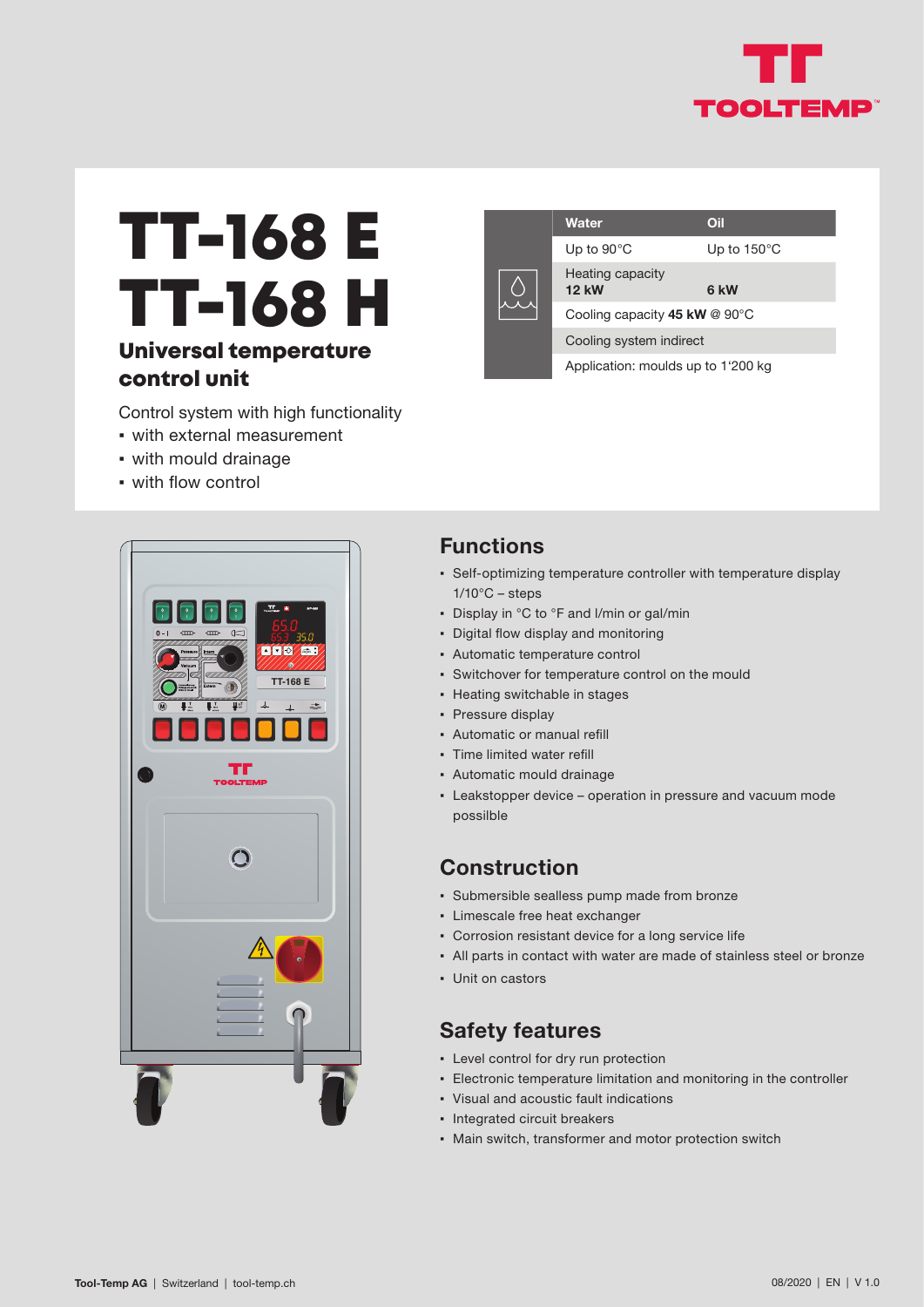

# TT-168 E TT-168 H

### Universal temperature control unit

Control system with high functionality

- with external measurement
- with mould drainage
- with flow control





#### **Functions**

- Self-optimizing temperature controller with temperature display  $1/10^{\circ}$ C – steps
- Display in °C to °F and I/min or gal/min
- Digital flow display and monitoring
- Automatic temperature control
- Switchover for temperature control on the mould
- Heating switchable in stages
- Pressure display
- Automatic or manual refill
- Time limited water refill
- Automatic mould drainage
- **Eakstopper device operation in pressure and vacuum mode** possilble

#### **Construction**

- Submersible sealless pump made from bronze
- Limescale free heat exchanger
- Corrosion resistant device for a long service life
- All parts in contact with water are made of stainless steel or bronze
- Unit on castors

#### **Safety features**

- Level control for dry run protection
- **Electronic temperature limitation and monitoring in the controller**
- Visual and acoustic fault indications
- Integrated circuit breakers
- Main switch, transformer and motor protection switch